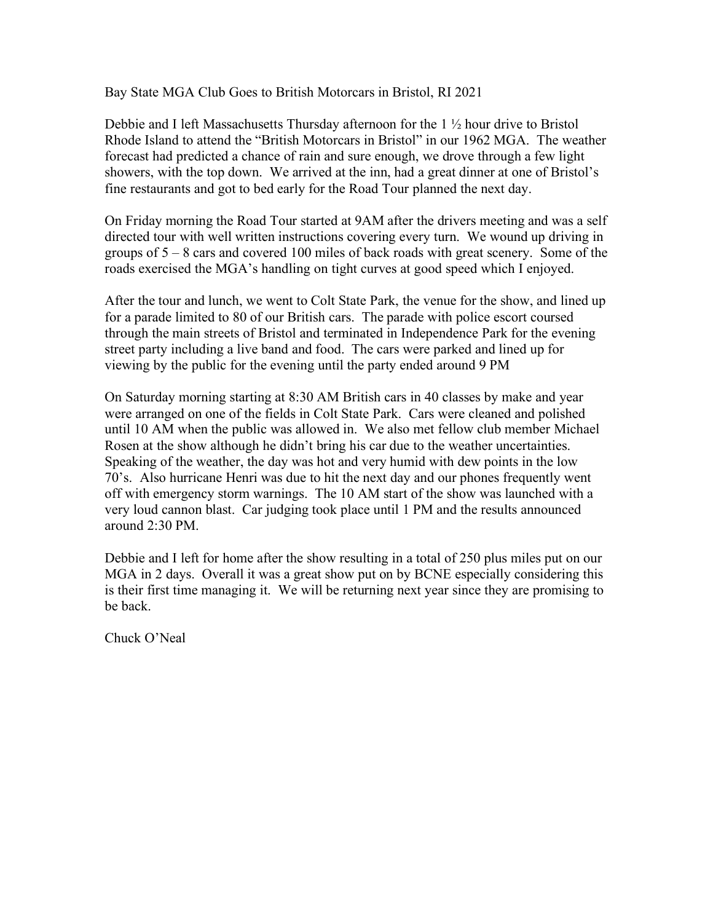Bay State MGA Club Goes to British Motorcars in Bristol, RI 2021

Debbie and I left Massachusetts Thursday afternoon for the 1 ½ hour drive to Bristol Rhode Island to attend the "British Motorcars in Bristol" in our 1962 MGA. The weather forecast had predicted a chance of rain and sure enough, we drove through a few light showers, with the top down. We arrived at the inn, had a great dinner at one of Bristol's fine restaurants and got to bed early for the Road Tour planned the next day.

On Friday morning the Road Tour started at 9AM after the drivers meeting and was a self directed tour with well written instructions covering every turn. We wound up driving in groups of 5 – 8 cars and covered 100 miles of back roads with great scenery. Some of the roads exercised the MGA's handling on tight curves at good speed which I enjoyed.

After the tour and lunch, we went to Colt State Park, the venue for the show, and lined up for a parade limited to 80 of our British cars. The parade with police escort coursed through the main streets of Bristol and terminated in Independence Park for the evening street party including a live band and food. The cars were parked and lined up for viewing by the public for the evening until the party ended around 9 PM

On Saturday morning starting at 8:30 AM British cars in 40 classes by make and year were arranged on one of the fields in Colt State Park. Cars were cleaned and polished until 10 AM when the public was allowed in. We also met fellow club member Michael Rosen at the show although he didn't bring his car due to the weather uncertainties. Speaking of the weather, the day was hot and very humid with dew points in the low 70's. Also hurricane Henri was due to hit the next day and our phones frequently went off with emergency storm warnings. The 10 AM start of the show was launched with a very loud cannon blast. Car judging took place until 1 PM and the results announced around 2:30 PM.

Debbie and I left for home after the show resulting in a total of 250 plus miles put on our MGA in 2 days. Overall it was a great show put on by BCNE especially considering this is their first time managing it. We will be returning next year since they are promising to be back.

Chuck O'Neal